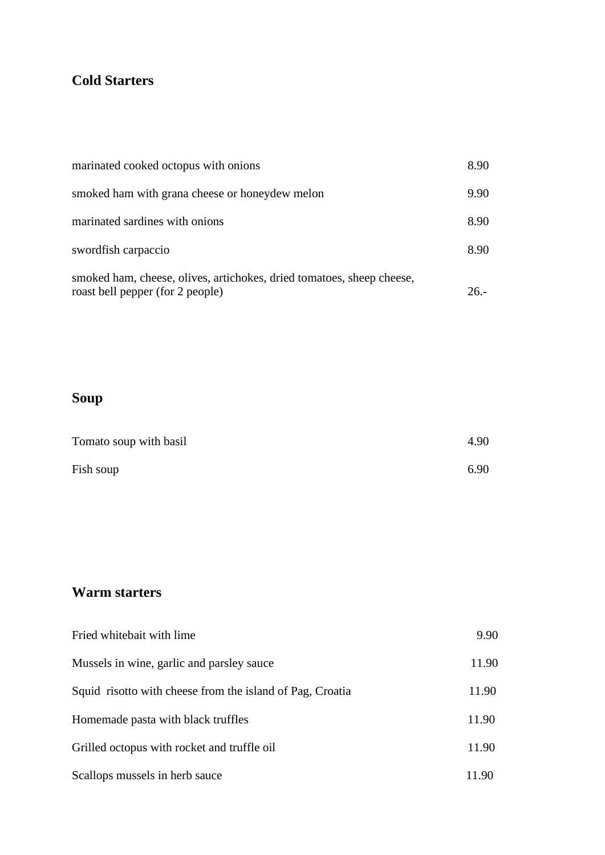## **Cold Starters**

| marinated cooked octopus with onions                                                                      | 8.90 |
|-----------------------------------------------------------------------------------------------------------|------|
| smoked ham with grana cheese or honeydew melon                                                            | 9.90 |
| marinated sardines with onions                                                                            | 8.90 |
| swordfish carpaccio                                                                                       | 8.90 |
| smoked ham, cheese, olives, artichokes, dried tomatoes, sheep cheese,<br>roast bell pepper (for 2 people) | 26 - |

# **Soup**

| Tomato soup with basil | 4.90 |
|------------------------|------|
| Fish soup              | 6.90 |

## **Warm starters**

| Fried whitebait with lime                                 | 9.90  |
|-----------------------------------------------------------|-------|
| Mussels in wine, garlic and parsley sauce                 | 11.90 |
| Squid risotto with cheese from the island of Pag, Croatia | 11.90 |
| Homemade pasta with black truffles                        | 11.90 |
| Grilled octopus with rocket and truffle oil               | 11.90 |
| Scallops mussels in herb sauce                            | 11.90 |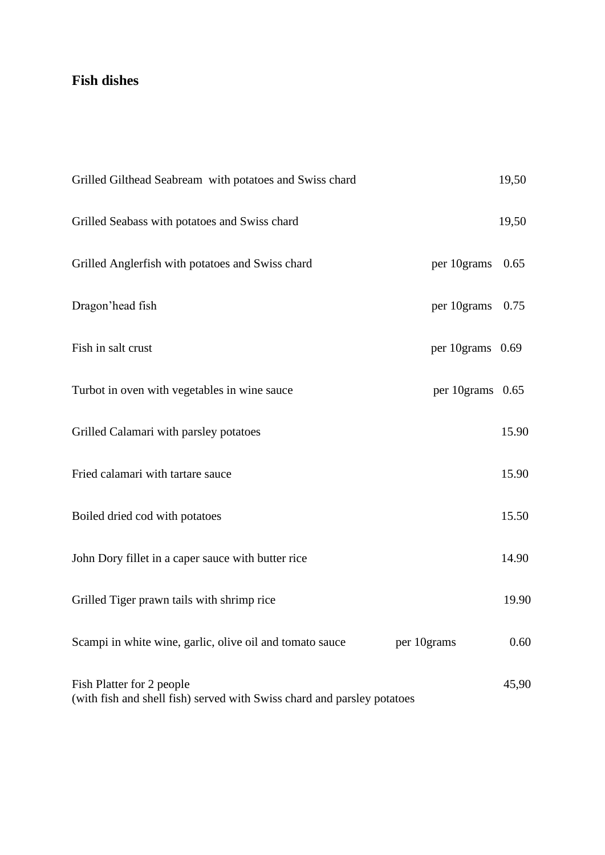## **Fish dishes**

| Grilled Gilthead Seabream with potatoes and Swiss chard                                              |                  | 19,50 |
|------------------------------------------------------------------------------------------------------|------------------|-------|
| Grilled Seabass with potatoes and Swiss chard                                                        |                  | 19,50 |
| Grilled Anglerfish with potatoes and Swiss chard                                                     | per 10grams      | 0.65  |
| Dragon'head fish                                                                                     | per 10grams      | 0.75  |
| Fish in salt crust                                                                                   | per 10grams 0.69 |       |
| Turbot in oven with vegetables in wine sauce                                                         | per 10grams 0.65 |       |
| Grilled Calamari with parsley potatoes                                                               |                  | 15.90 |
| Fried calamari with tartare sauce                                                                    |                  | 15.90 |
| Boiled dried cod with potatoes                                                                       |                  | 15.50 |
| John Dory fillet in a caper sauce with butter rice                                                   |                  | 14.90 |
| Grilled Tiger prawn tails with shrimp rice                                                           |                  | 19.90 |
| Scampi in white wine, garlic, olive oil and tomato sauce                                             | per 10grams      | 0.60  |
| Fish Platter for 2 people<br>(with fish and shell fish) served with Swiss chard and parsley potatoes |                  | 45,90 |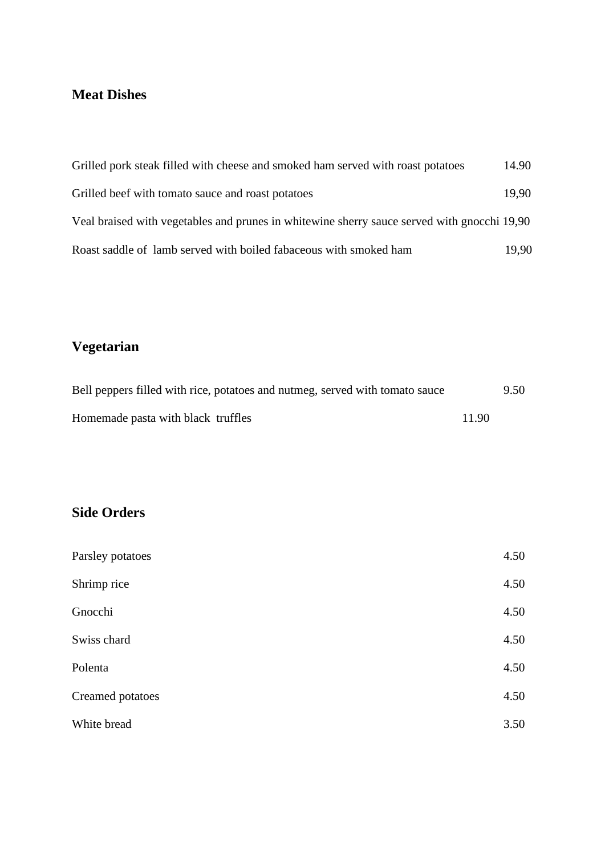## **Meat Dishes**

| Grilled pork steak filled with cheese and smoked ham served with roast potatoes             | 14.90 |
|---------------------------------------------------------------------------------------------|-------|
| Grilled beef with tomato sauce and roast potatoes                                           | 19.90 |
| Veal braised with vegetables and prunes in whitewine sherry sauce served with gnocchi 19,90 |       |
| Roast saddle of lamb served with boiled fabaceous with smoked ham                           | 19.90 |

# **Vegetarian**

| Bell peppers filled with rice, potatoes and nutmeg, served with tomato sauce |       | 9.50 |
|------------------------------------------------------------------------------|-------|------|
| Homemade pasta with black truffles                                           | 11.90 |      |

## **Side Orders**

| Parsley potatoes | 4.50 |
|------------------|------|
| Shrimp rice      | 4.50 |
| Gnocchi          | 4.50 |
| Swiss chard      | 4.50 |
| Polenta          | 4.50 |
| Creamed potatoes | 4.50 |
| White bread      | 3.50 |